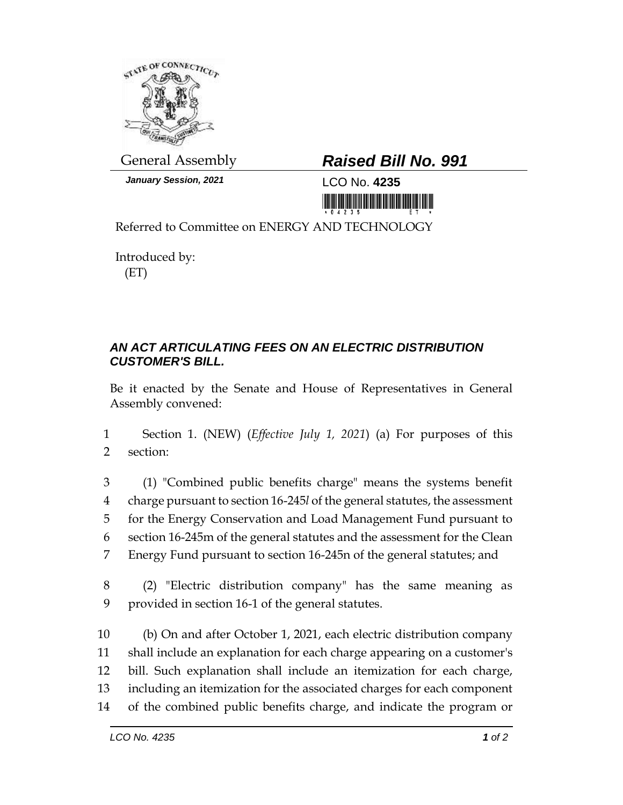

*January Session, 2021* LCO No. **4235**

## General Assembly *Raised Bill No. 991*

<u> 1999 - Andrew Maria Maria Maria Maria Maria Maria Maria Maria Maria Maria Maria Maria Maria Maria Maria Mari</u>

Referred to Committee on ENERGY AND TECHNOLOGY

Introduced by: (ET)

## *AN ACT ARTICULATING FEES ON AN ELECTRIC DISTRIBUTION CUSTOMER'S BILL.*

Be it enacted by the Senate and House of Representatives in General Assembly convened:

1 Section 1. (NEW) (*Effective July 1, 2021*) (a) For purposes of this 2 section:

 (1) "Combined public benefits charge" means the systems benefit charge pursuant to section 16-245*l* of the general statutes, the assessment for the Energy Conservation and Load Management Fund pursuant to section 16-245m of the general statutes and the assessment for the Clean Energy Fund pursuant to section 16-245n of the general statutes; and

8 (2) "Electric distribution company" has the same meaning as 9 provided in section 16-1 of the general statutes.

 (b) On and after October 1, 2021, each electric distribution company shall include an explanation for each charge appearing on a customer's bill. Such explanation shall include an itemization for each charge, including an itemization for the associated charges for each component of the combined public benefits charge, and indicate the program or